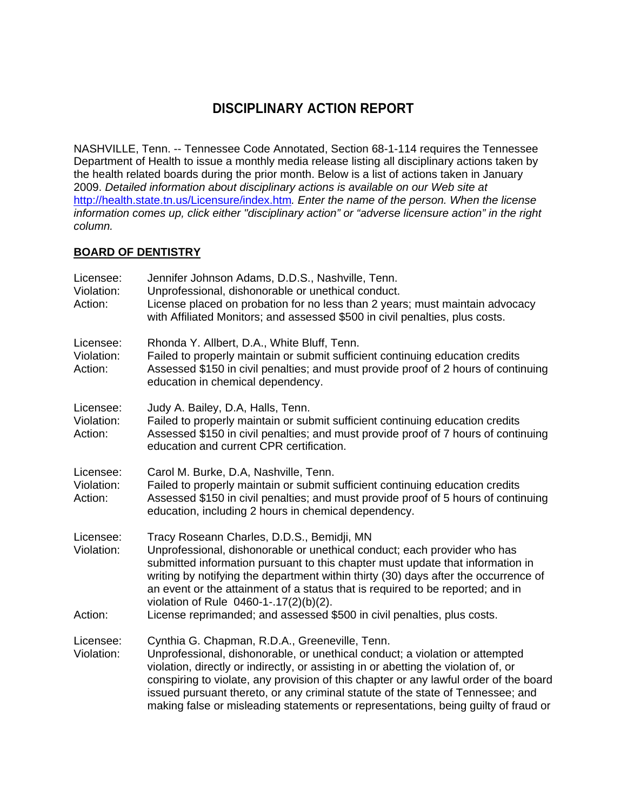# **DISCIPLINARY ACTION REPORT**

NASHVILLE, Tenn. -- Tennessee Code Annotated, Section 68-1-114 requires the Tennessee Department of Health to issue a monthly media release listing all disciplinary actions taken by the health related boards during the prior month. Below is a list of actions taken in January 2009. *Detailed information about disciplinary actions is available on our Web site at*  http://health.state.tn.us/Licensure/index.htm*. Enter the name of the person. When the license information comes up, click either "disciplinary action" or "adverse licensure action" in the right column.* 

# **BOARD OF DENTISTRY**

| Licensee:<br>Violation:<br>Action: | Jennifer Johnson Adams, D.D.S., Nashville, Tenn.<br>Unprofessional, dishonorable or unethical conduct.<br>License placed on probation for no less than 2 years; must maintain advocacy<br>with Affiliated Monitors; and assessed \$500 in civil penalties, plus costs.                                                                                                                                                                                                                                 |
|------------------------------------|--------------------------------------------------------------------------------------------------------------------------------------------------------------------------------------------------------------------------------------------------------------------------------------------------------------------------------------------------------------------------------------------------------------------------------------------------------------------------------------------------------|
| Licensee:<br>Violation:<br>Action: | Rhonda Y. Allbert, D.A., White Bluff, Tenn.<br>Failed to properly maintain or submit sufficient continuing education credits<br>Assessed \$150 in civil penalties; and must provide proof of 2 hours of continuing<br>education in chemical dependency.                                                                                                                                                                                                                                                |
| Licensee:<br>Violation:<br>Action: | Judy A. Bailey, D.A, Halls, Tenn.<br>Failed to properly maintain or submit sufficient continuing education credits<br>Assessed \$150 in civil penalties; and must provide proof of 7 hours of continuing<br>education and current CPR certification.                                                                                                                                                                                                                                                   |
| Licensee:<br>Violation:<br>Action: | Carol M. Burke, D.A, Nashville, Tenn.<br>Failed to properly maintain or submit sufficient continuing education credits<br>Assessed \$150 in civil penalties; and must provide proof of 5 hours of continuing<br>education, including 2 hours in chemical dependency.                                                                                                                                                                                                                                   |
| Licensee:<br>Violation:<br>Action: | Tracy Roseann Charles, D.D.S., Bemidji, MN<br>Unprofessional, dishonorable or unethical conduct; each provider who has<br>submitted information pursuant to this chapter must update that information in<br>writing by notifying the department within thirty (30) days after the occurrence of<br>an event or the attainment of a status that is required to be reported; and in<br>violation of Rule 0460-1-.17(2)(b)(2).<br>License reprimanded; and assessed \$500 in civil penalties, plus costs. |
| Licensee:<br>Violation:            | Cynthia G. Chapman, R.D.A., Greeneville, Tenn.<br>Unprofessional, dishonorable, or unethical conduct; a violation or attempted<br>violation, directly or indirectly, or assisting in or abetting the violation of, or<br>conspiring to violate, any provision of this chapter or any lawful order of the board<br>issued pursuant thereto, or any criminal statute of the state of Tennessee; and<br>making false or misleading statements or representations, being guilty of fraud or                |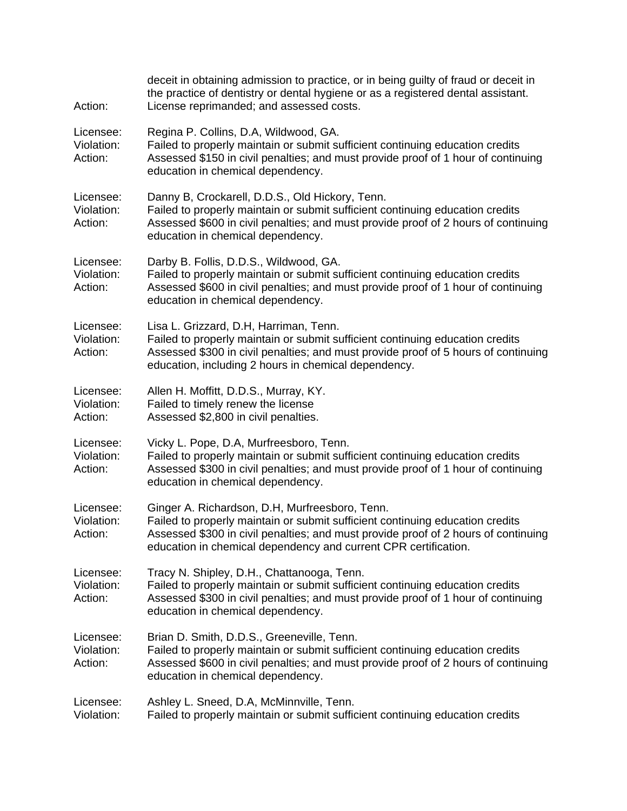| Action:                            | deceit in obtaining admission to practice, or in being guilty of fraud or deceit in<br>the practice of dentistry or dental hygiene or as a registered dental assistant.<br>License reprimanded; and assessed costs.                                                                      |
|------------------------------------|------------------------------------------------------------------------------------------------------------------------------------------------------------------------------------------------------------------------------------------------------------------------------------------|
| Licensee:<br>Violation:<br>Action: | Regina P. Collins, D.A, Wildwood, GA.<br>Failed to properly maintain or submit sufficient continuing education credits<br>Assessed \$150 in civil penalties; and must provide proof of 1 hour of continuing<br>education in chemical dependency.                                         |
| Licensee:<br>Violation:<br>Action: | Danny B, Crockarell, D.D.S., Old Hickory, Tenn.<br>Failed to properly maintain or submit sufficient continuing education credits<br>Assessed \$600 in civil penalties; and must provide proof of 2 hours of continuing<br>education in chemical dependency.                              |
| Licensee:<br>Violation:<br>Action: | Darby B. Follis, D.D.S., Wildwood, GA.<br>Failed to properly maintain or submit sufficient continuing education credits<br>Assessed \$600 in civil penalties; and must provide proof of 1 hour of continuing<br>education in chemical dependency.                                        |
| Licensee:<br>Violation:<br>Action: | Lisa L. Grizzard, D.H, Harriman, Tenn.<br>Failed to properly maintain or submit sufficient continuing education credits<br>Assessed \$300 in civil penalties; and must provide proof of 5 hours of continuing<br>education, including 2 hours in chemical dependency.                    |
| Licensee:<br>Violation:<br>Action: | Allen H. Moffitt, D.D.S., Murray, KY.<br>Failed to timely renew the license<br>Assessed \$2,800 in civil penalties.                                                                                                                                                                      |
| Licensee:<br>Violation:<br>Action: | Vicky L. Pope, D.A, Murfreesboro, Tenn.<br>Failed to properly maintain or submit sufficient continuing education credits<br>Assessed \$300 in civil penalties; and must provide proof of 1 hour of continuing<br>education in chemical dependency.                                       |
| Licensee:<br>Violation:<br>Action: | Ginger A. Richardson, D.H, Murfreesboro, Tenn.<br>Failed to properly maintain or submit sufficient continuing education credits<br>Assessed \$300 in civil penalties; and must provide proof of 2 hours of continuing<br>education in chemical dependency and current CPR certification. |
| Licensee:<br>Violation:<br>Action: | Tracy N. Shipley, D.H., Chattanooga, Tenn.<br>Failed to properly maintain or submit sufficient continuing education credits<br>Assessed \$300 in civil penalties; and must provide proof of 1 hour of continuing<br>education in chemical dependency.                                    |
| Licensee:<br>Violation:<br>Action: | Brian D. Smith, D.D.S., Greeneville, Tenn.<br>Failed to properly maintain or submit sufficient continuing education credits<br>Assessed \$600 in civil penalties; and must provide proof of 2 hours of continuing<br>education in chemical dependency.                                   |
| Licensee:<br>Violation:            | Ashley L. Sneed, D.A, McMinnville, Tenn.<br>Failed to properly maintain or submit sufficient continuing education credits                                                                                                                                                                |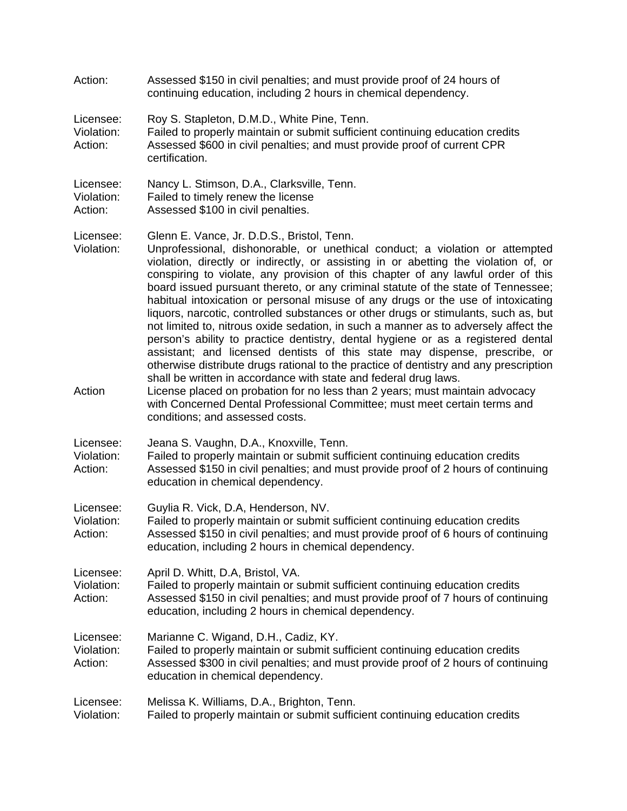| Action:                            | Assessed \$150 in civil penalties; and must provide proof of 24 hours of<br>continuing education, including 2 hours in chemical dependency.                                                                                                                                                                                                                                                                                                                                                                                                                                                                                                                                                                                                                                                                                                                                                                                                                                                                                                                                                                                                                                                 |
|------------------------------------|---------------------------------------------------------------------------------------------------------------------------------------------------------------------------------------------------------------------------------------------------------------------------------------------------------------------------------------------------------------------------------------------------------------------------------------------------------------------------------------------------------------------------------------------------------------------------------------------------------------------------------------------------------------------------------------------------------------------------------------------------------------------------------------------------------------------------------------------------------------------------------------------------------------------------------------------------------------------------------------------------------------------------------------------------------------------------------------------------------------------------------------------------------------------------------------------|
| Licensee:<br>Violation:<br>Action: | Roy S. Stapleton, D.M.D., White Pine, Tenn.<br>Failed to properly maintain or submit sufficient continuing education credits<br>Assessed \$600 in civil penalties; and must provide proof of current CPR<br>certification.                                                                                                                                                                                                                                                                                                                                                                                                                                                                                                                                                                                                                                                                                                                                                                                                                                                                                                                                                                  |
| Licensee:<br>Violation:<br>Action: | Nancy L. Stimson, D.A., Clarksville, Tenn.<br>Failed to timely renew the license<br>Assessed \$100 in civil penalties.                                                                                                                                                                                                                                                                                                                                                                                                                                                                                                                                                                                                                                                                                                                                                                                                                                                                                                                                                                                                                                                                      |
| Licensee:<br>Violation:<br>Action  | Glenn E. Vance, Jr. D.D.S., Bristol, Tenn.<br>Unprofessional, dishonorable, or unethical conduct; a violation or attempted<br>violation, directly or indirectly, or assisting in or abetting the violation of, or<br>conspiring to violate, any provision of this chapter of any lawful order of this<br>board issued pursuant thereto, or any criminal statute of the state of Tennessee;<br>habitual intoxication or personal misuse of any drugs or the use of intoxicating<br>liquors, narcotic, controlled substances or other drugs or stimulants, such as, but<br>not limited to, nitrous oxide sedation, in such a manner as to adversely affect the<br>person's ability to practice dentistry, dental hygiene or as a registered dental<br>assistant; and licensed dentists of this state may dispense, prescribe, or<br>otherwise distribute drugs rational to the practice of dentistry and any prescription<br>shall be written in accordance with state and federal drug laws.<br>License placed on probation for no less than 2 years; must maintain advocacy<br>with Concerned Dental Professional Committee; must meet certain terms and<br>conditions; and assessed costs. |
| Licensee:<br>Violation:<br>Action: | Jeana S. Vaughn, D.A., Knoxville, Tenn.<br>Failed to properly maintain or submit sufficient continuing education credits<br>Assessed \$150 in civil penalties; and must provide proof of 2 hours of continuing<br>education in chemical dependency.                                                                                                                                                                                                                                                                                                                                                                                                                                                                                                                                                                                                                                                                                                                                                                                                                                                                                                                                         |
| Licensee:<br>Violation:<br>Action: | Guylia R. Vick, D.A, Henderson, NV.<br>Failed to properly maintain or submit sufficient continuing education credits<br>Assessed \$150 in civil penalties; and must provide proof of 6 hours of continuing<br>education, including 2 hours in chemical dependency.                                                                                                                                                                                                                                                                                                                                                                                                                                                                                                                                                                                                                                                                                                                                                                                                                                                                                                                          |
| Licensee:<br>Violation:<br>Action: | April D. Whitt, D.A, Bristol, VA.<br>Failed to properly maintain or submit sufficient continuing education credits<br>Assessed \$150 in civil penalties; and must provide proof of 7 hours of continuing<br>education, including 2 hours in chemical dependency.                                                                                                                                                                                                                                                                                                                                                                                                                                                                                                                                                                                                                                                                                                                                                                                                                                                                                                                            |
| Licensee:<br>Violation:<br>Action: | Marianne C. Wigand, D.H., Cadiz, KY.<br>Failed to properly maintain or submit sufficient continuing education credits<br>Assessed \$300 in civil penalties; and must provide proof of 2 hours of continuing<br>education in chemical dependency.                                                                                                                                                                                                                                                                                                                                                                                                                                                                                                                                                                                                                                                                                                                                                                                                                                                                                                                                            |
| Licensee:<br>Violation:            | Melissa K. Williams, D.A., Brighton, Tenn.<br>Failed to properly maintain or submit sufficient continuing education credits                                                                                                                                                                                                                                                                                                                                                                                                                                                                                                                                                                                                                                                                                                                                                                                                                                                                                                                                                                                                                                                                 |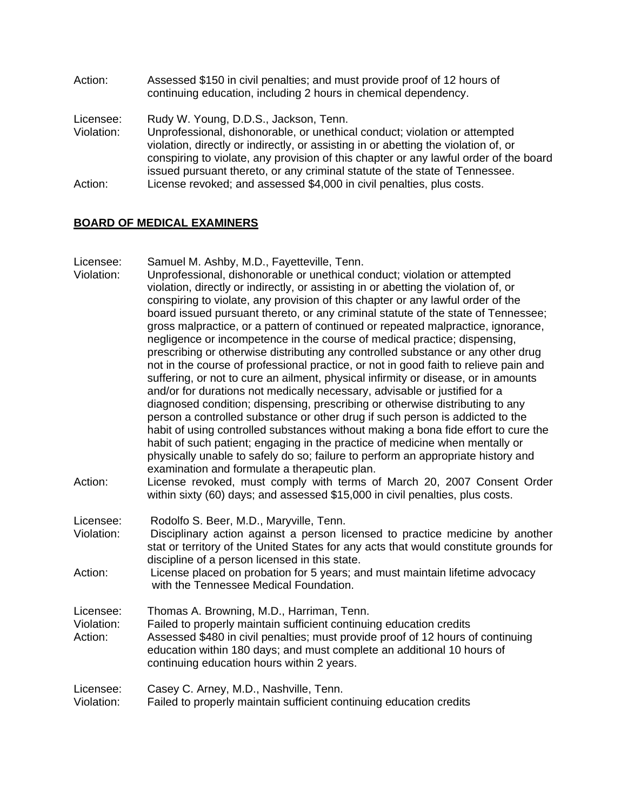Action: Assessed \$150 in civil penalties; and must provide proof of 12 hours of continuing education, including 2 hours in chemical dependency. Licensee: Rudy W. Young, D.D.S., Jackson, Tenn. Violation: Unprofessional, dishonorable, or unethical conduct; violation or attempted violation, directly or indirectly, or assisting in or abetting the violation of, or conspiring to violate, any provision of this chapter or any lawful order of the board issued pursuant thereto, or any criminal statute of the state of Tennessee. Action: License revoked; and assessed \$4,000 in civil penalties, plus costs.

# **BOARD OF MEDICAL EXAMINERS**

Licensee: Samuel M. Ashby, M.D., Fayetteville, Tenn.

- Violation: Unprofessional, dishonorable or unethical conduct; violation or attempted violation, directly or indirectly, or assisting in or abetting the violation of, or conspiring to violate, any provision of this chapter or any lawful order of the board issued pursuant thereto, or any criminal statute of the state of Tennessee; gross malpractice, or a pattern of continued or repeated malpractice, ignorance, negligence or incompetence in the course of medical practice; dispensing, prescribing or otherwise distributing any controlled substance or any other drug not in the course of professional practice, or not in good faith to relieve pain and suffering, or not to cure an ailment, physical infirmity or disease, or in amounts and/or for durations not medically necessary, advisable or justified for a diagnosed condition; dispensing, prescribing or otherwise distributing to any person a controlled substance or other drug if such person is addicted to the habit of using controlled substances without making a bona fide effort to cure the habit of such patient; engaging in the practice of medicine when mentally or physically unable to safely do so; failure to perform an appropriate history and examination and formulate a therapeutic plan.
- Action: License revoked, must comply with terms of March 20, 2007 Consent Order within sixty (60) days; and assessed \$15,000 in civil penalties, plus costs.
- Licensee: Rodolfo S. Beer, M.D., Maryville, Tenn.
- Violation: Disciplinary action against a person licensed to practice medicine by another stat or territory of the United States for any acts that would constitute grounds for discipline of a person licensed in this state.
- Action: License placed on probation for 5 years; and must maintain lifetime advocacy with the Tennessee Medical Foundation.

Licensee: Thomas A. Browning, M.D., Harriman, Tenn.

Violation: Failed to properly maintain sufficient continuing education credits Action: Assessed \$480 in civil penalties; must provide proof of 12 hours of continuing education within 180 days; and must complete an additional 10 hours of continuing education hours within 2 years.

Licensee: Casey C. Arney, M.D., Nashville, Tenn.

Violation: Failed to properly maintain sufficient continuing education credits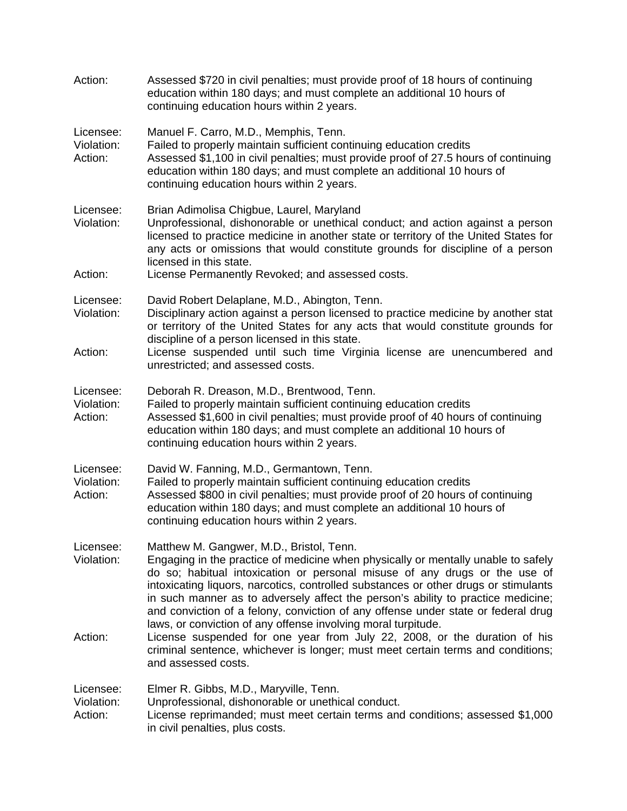| Action:                            | Assessed \$720 in civil penalties; must provide proof of 18 hours of continuing<br>education within 180 days; and must complete an additional 10 hours of<br>continuing education hours within 2 years.                                                                                                                                                                                                                                                                                                                                      |
|------------------------------------|----------------------------------------------------------------------------------------------------------------------------------------------------------------------------------------------------------------------------------------------------------------------------------------------------------------------------------------------------------------------------------------------------------------------------------------------------------------------------------------------------------------------------------------------|
| Licensee:<br>Violation:<br>Action: | Manuel F. Carro, M.D., Memphis, Tenn.<br>Failed to properly maintain sufficient continuing education credits<br>Assessed \$1,100 in civil penalties; must provide proof of 27.5 hours of continuing<br>education within 180 days; and must complete an additional 10 hours of<br>continuing education hours within 2 years.                                                                                                                                                                                                                  |
| Licensee:<br>Violation:            | Brian Adimolisa Chigbue, Laurel, Maryland<br>Unprofessional, dishonorable or unethical conduct; and action against a person<br>licensed to practice medicine in another state or territory of the United States for<br>any acts or omissions that would constitute grounds for discipline of a person<br>licensed in this state.                                                                                                                                                                                                             |
| Action:                            | License Permanently Revoked; and assessed costs.                                                                                                                                                                                                                                                                                                                                                                                                                                                                                             |
| Licensee:<br>Violation:            | David Robert Delaplane, M.D., Abington, Tenn.<br>Disciplinary action against a person licensed to practice medicine by another stat<br>or territory of the United States for any acts that would constitute grounds for<br>discipline of a person licensed in this state.                                                                                                                                                                                                                                                                    |
| Action:                            | License suspended until such time Virginia license are unencumbered and<br>unrestricted; and assessed costs.                                                                                                                                                                                                                                                                                                                                                                                                                                 |
| Licensee:<br>Violation:<br>Action: | Deborah R. Dreason, M.D., Brentwood, Tenn.<br>Failed to properly maintain sufficient continuing education credits<br>Assessed \$1,600 in civil penalties; must provide proof of 40 hours of continuing<br>education within 180 days; and must complete an additional 10 hours of<br>continuing education hours within 2 years.                                                                                                                                                                                                               |
| Licensee:<br>Violation:<br>Action: | David W. Fanning, M.D., Germantown, Tenn.<br>Failed to properly maintain sufficient continuing education credits<br>Assessed \$800 in civil penalties; must provide proof of 20 hours of continuing<br>education within 180 days; and must complete an additional 10 hours of<br>continuing education hours within 2 years.                                                                                                                                                                                                                  |
| Licensee:<br>Violation:            | Matthew M. Gangwer, M.D., Bristol, Tenn.<br>Engaging in the practice of medicine when physically or mentally unable to safely<br>do so; habitual intoxication or personal misuse of any drugs or the use of<br>intoxicating liquors, narcotics, controlled substances or other drugs or stimulants<br>in such manner as to adversely affect the person's ability to practice medicine;<br>and conviction of a felony, conviction of any offense under state or federal drug<br>laws, or conviction of any offense involving moral turpitude. |
| Action:                            | License suspended for one year from July 22, 2008, or the duration of his<br>criminal sentence, whichever is longer; must meet certain terms and conditions;<br>and assessed costs.                                                                                                                                                                                                                                                                                                                                                          |
| Licensee:<br>Violation:<br>Action: | Elmer R. Gibbs, M.D., Maryville, Tenn.<br>Unprofessional, dishonorable or unethical conduct.<br>License reprimanded; must meet certain terms and conditions; assessed \$1,000<br>in civil penalties, plus costs.                                                                                                                                                                                                                                                                                                                             |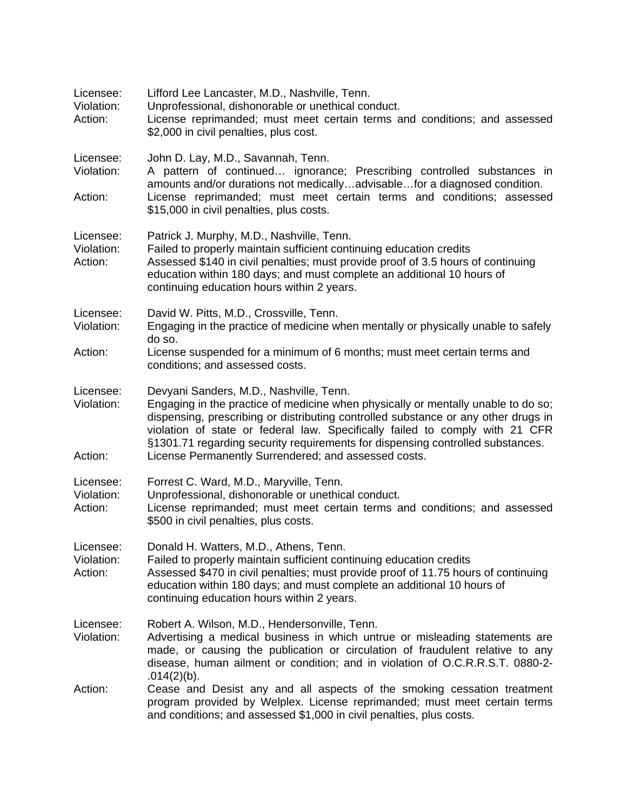| Licensee:<br>Violation:<br>Action: | Lifford Lee Lancaster, M.D., Nashville, Tenn.<br>Unprofessional, dishonorable or unethical conduct.<br>License reprimanded; must meet certain terms and conditions; and assessed<br>\$2,000 in civil penalties, plus cost.                                                                                                                                                                                                                   |
|------------------------------------|----------------------------------------------------------------------------------------------------------------------------------------------------------------------------------------------------------------------------------------------------------------------------------------------------------------------------------------------------------------------------------------------------------------------------------------------|
| Licensee:<br>Violation:            | John D. Lay, M.D., Savannah, Tenn.<br>A pattern of continued ignorance; Prescribing controlled substances in<br>amounts and/or durations not medicallyadvisablefor a diagnosed condition.                                                                                                                                                                                                                                                    |
| Action:                            | License reprimanded; must meet certain terms and conditions; assessed<br>\$15,000 in civil penalties, plus costs.                                                                                                                                                                                                                                                                                                                            |
| Licensee:<br>Violation:<br>Action: | Patrick J. Murphy, M.D., Nashville, Tenn.<br>Failed to properly maintain sufficient continuing education credits<br>Assessed \$140 in civil penalties; must provide proof of 3.5 hours of continuing<br>education within 180 days; and must complete an additional 10 hours of<br>continuing education hours within 2 years.                                                                                                                 |
| Licensee:<br>Violation:            | David W. Pitts, M.D., Crossville, Tenn.<br>Engaging in the practice of medicine when mentally or physically unable to safely<br>do so.                                                                                                                                                                                                                                                                                                       |
| Action:                            | License suspended for a minimum of 6 months; must meet certain terms and<br>conditions; and assessed costs.                                                                                                                                                                                                                                                                                                                                  |
| Licensee:<br>Violation:<br>Action: | Devyani Sanders, M.D., Nashville, Tenn.<br>Engaging in the practice of medicine when physically or mentally unable to do so;<br>dispensing, prescribing or distributing controlled substance or any other drugs in<br>violation of state or federal law. Specifically failed to comply with 21 CFR<br>§1301.71 regarding security requirements for dispensing controlled substances.<br>License Permanently Surrendered; and assessed costs. |
| Licensee:<br>Violation:<br>Action: | Forrest C. Ward, M.D., Maryville, Tenn.<br>Unprofessional, dishonorable or unethical conduct.<br>License reprimanded; must meet certain terms and conditions; and assessed<br>\$500 in civil penalties, plus costs.                                                                                                                                                                                                                          |
| Licensee:<br>Violation:<br>Action: | Donald H. Watters, M.D., Athens, Tenn.<br>Failed to properly maintain sufficient continuing education credits<br>Assessed \$470 in civil penalties; must provide proof of 11.75 hours of continuing<br>education within 180 days; and must complete an additional 10 hours of<br>continuing education hours within 2 years.                                                                                                                  |
| Licensee:<br>Violation:            | Robert A. Wilson, M.D., Hendersonville, Tenn.<br>Advertising a medical business in which untrue or misleading statements are<br>made, or causing the publication or circulation of fraudulent relative to any<br>disease, human ailment or condition; and in violation of O.C.R.R.S.T. 0880-2-<br>.014(2)(b).                                                                                                                                |
| Action:                            | Cease and Desist any and all aspects of the smoking cessation treatment<br>program provided by Welplex. License reprimanded; must meet certain terms<br>and conditions; and assessed \$1,000 in civil penalties, plus costs.                                                                                                                                                                                                                 |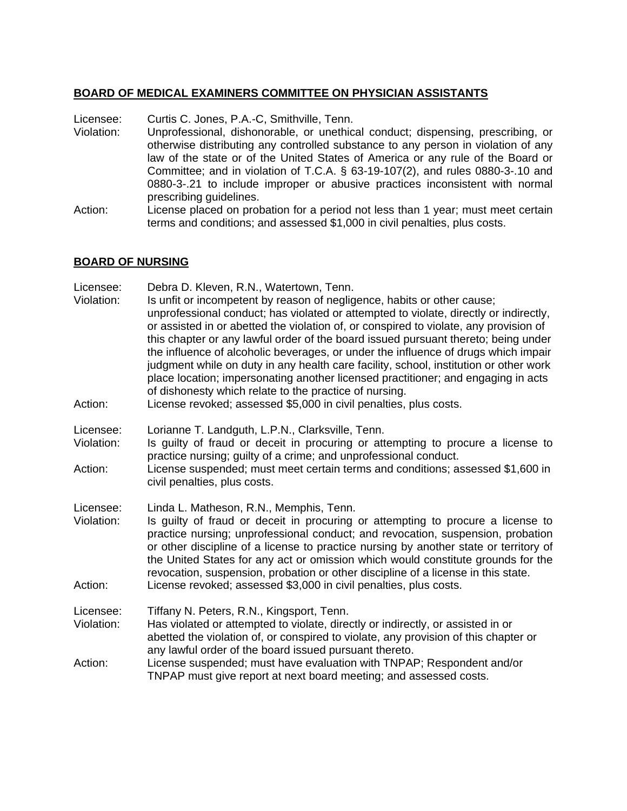# **BOARD OF MEDICAL EXAMINERS COMMITTEE ON PHYSICIAN ASSISTANTS**

Licensee: Curtis C. Jones, P.A.-C, Smithville, Tenn.

- Violation: Unprofessional, dishonorable, or unethical conduct; dispensing, prescribing, or otherwise distributing any controlled substance to any person in violation of any law of the state or of the United States of America or any rule of the Board or Committee; and in violation of T.C.A. § 63-19-107(2), and rules 0880-3-.10 and 0880-3-.21 to include improper or abusive practices inconsistent with normal prescribing guidelines.
- Action: License placed on probation for a period not less than 1 year; must meet certain terms and conditions; and assessed \$1,000 in civil penalties, plus costs.

# **BOARD OF NURSING**

| Licensee:<br>Violation:<br>Action: | Debra D. Kleven, R.N., Watertown, Tenn.<br>Is unfit or incompetent by reason of negligence, habits or other cause;<br>unprofessional conduct; has violated or attempted to violate, directly or indirectly,<br>or assisted in or abetted the violation of, or conspired to violate, any provision of<br>this chapter or any lawful order of the board issued pursuant thereto; being under<br>the influence of alcoholic beverages, or under the influence of drugs which impair<br>judgment while on duty in any health care facility, school, institution or other work<br>place location; impersonating another licensed practitioner; and engaging in acts<br>of dishonesty which relate to the practice of nursing.<br>License revoked; assessed \$5,000 in civil penalties, plus costs. |
|------------------------------------|-----------------------------------------------------------------------------------------------------------------------------------------------------------------------------------------------------------------------------------------------------------------------------------------------------------------------------------------------------------------------------------------------------------------------------------------------------------------------------------------------------------------------------------------------------------------------------------------------------------------------------------------------------------------------------------------------------------------------------------------------------------------------------------------------|
| Licensee:<br>Violation:            | Lorianne T. Landguth, L.P.N., Clarksville, Tenn.<br>Is guilty of fraud or deceit in procuring or attempting to procure a license to<br>practice nursing; guilty of a crime; and unprofessional conduct.                                                                                                                                                                                                                                                                                                                                                                                                                                                                                                                                                                                       |
| Action:                            | License suspended; must meet certain terms and conditions; assessed \$1,600 in<br>civil penalties, plus costs.                                                                                                                                                                                                                                                                                                                                                                                                                                                                                                                                                                                                                                                                                |
| Licensee:<br>Violation:<br>Action: | Linda L. Matheson, R.N., Memphis, Tenn.<br>Is guilty of fraud or deceit in procuring or attempting to procure a license to<br>practice nursing; unprofessional conduct; and revocation, suspension, probation<br>or other discipline of a license to practice nursing by another state or territory of<br>the United States for any act or omission which would constitute grounds for the<br>revocation, suspension, probation or other discipline of a license in this state.<br>License revoked; assessed \$3,000 in civil penalties, plus costs.                                                                                                                                                                                                                                          |
| Licensee:<br>Violation:            | Tiffany N. Peters, R.N., Kingsport, Tenn.<br>Has violated or attempted to violate, directly or indirectly, or assisted in or<br>abetted the violation of, or conspired to violate, any provision of this chapter or<br>any lawful order of the board issued pursuant thereto.                                                                                                                                                                                                                                                                                                                                                                                                                                                                                                                 |
| Action:                            | License suspended; must have evaluation with TNPAP; Respondent and/or<br>TNPAP must give report at next board meeting; and assessed costs.                                                                                                                                                                                                                                                                                                                                                                                                                                                                                                                                                                                                                                                    |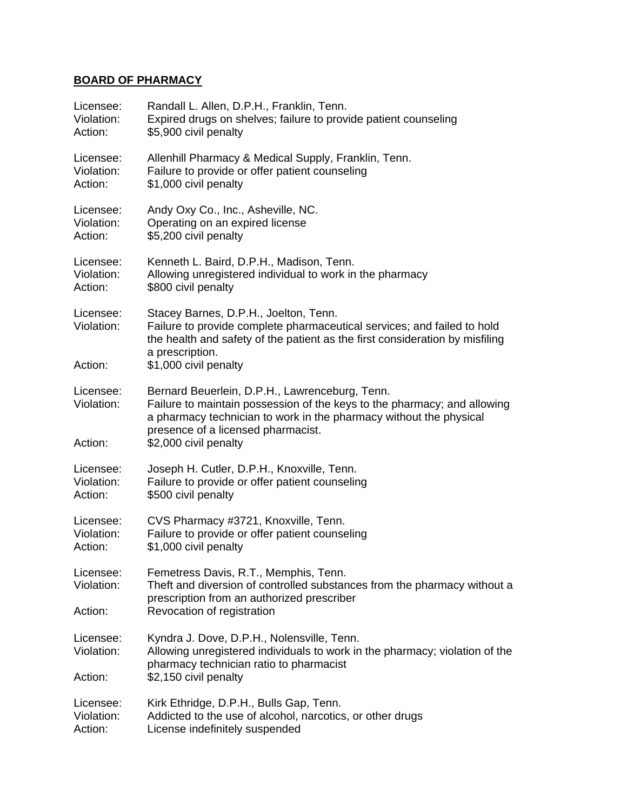# **BOARD OF PHARMACY**

| Licensee:                          | Randall L. Allen, D.P.H., Franklin, Tenn.                                                                                                                                                                                                                       |
|------------------------------------|-----------------------------------------------------------------------------------------------------------------------------------------------------------------------------------------------------------------------------------------------------------------|
| Violation:                         | Expired drugs on shelves; failure to provide patient counseling                                                                                                                                                                                                 |
| Action:                            | \$5,900 civil penalty                                                                                                                                                                                                                                           |
| Licensee:                          | Allenhill Pharmacy & Medical Supply, Franklin, Tenn.                                                                                                                                                                                                            |
| Violation:                         | Failure to provide or offer patient counseling                                                                                                                                                                                                                  |
| Action:                            | \$1,000 civil penalty                                                                                                                                                                                                                                           |
| Licensee:                          | Andy Oxy Co., Inc., Asheville, NC.                                                                                                                                                                                                                              |
| Violation:                         | Operating on an expired license                                                                                                                                                                                                                                 |
| Action:                            | \$5,200 civil penalty                                                                                                                                                                                                                                           |
| Licensee:                          | Kenneth L. Baird, D.P.H., Madison, Tenn.                                                                                                                                                                                                                        |
| Violation:                         | Allowing unregistered individual to work in the pharmacy                                                                                                                                                                                                        |
| Action:                            | \$800 civil penalty                                                                                                                                                                                                                                             |
| Licensee:<br>Violation:<br>Action: | Stacey Barnes, D.P.H., Joelton, Tenn.<br>Failure to provide complete pharmaceutical services; and failed to hold<br>the health and safety of the patient as the first consideration by misfiling<br>a prescription.<br>\$1,000 civil penalty                    |
| Licensee:<br>Violation:<br>Action: | Bernard Beuerlein, D.P.H., Lawrenceburg, Tenn.<br>Failure to maintain possession of the keys to the pharmacy; and allowing<br>a pharmacy technician to work in the pharmacy without the physical<br>presence of a licensed pharmacist.<br>\$2,000 civil penalty |
| Licensee:                          | Joseph H. Cutler, D.P.H., Knoxville, Tenn.                                                                                                                                                                                                                      |
| Violation:                         | Failure to provide or offer patient counseling                                                                                                                                                                                                                  |
| Action:                            | \$500 civil penalty                                                                                                                                                                                                                                             |
| Licensee:                          | CVS Pharmacy #3721, Knoxville, Tenn.                                                                                                                                                                                                                            |
| Violation:                         | Failure to provide or offer patient counseling                                                                                                                                                                                                                  |
| Action:                            | \$1,000 civil penalty                                                                                                                                                                                                                                           |
| Licensee:<br>Violation:            | Femetress Davis, R.T., Memphis, Tenn.<br>Theft and diversion of controlled substances from the pharmacy without a<br>prescription from an authorized prescriber                                                                                                 |
| Action:                            | Revocation of registration                                                                                                                                                                                                                                      |
| Licensee:<br>Violation:            | Kyndra J. Dove, D.P.H., Nolensville, Tenn.<br>Allowing unregistered individuals to work in the pharmacy; violation of the<br>pharmacy technician ratio to pharmacist                                                                                            |
| Action:                            | \$2,150 civil penalty                                                                                                                                                                                                                                           |
| Licensee:                          | Kirk Ethridge, D.P.H., Bulls Gap, Tenn.                                                                                                                                                                                                                         |
| Violation:                         | Addicted to the use of alcohol, narcotics, or other drugs                                                                                                                                                                                                       |
| Action:                            | License indefinitely suspended                                                                                                                                                                                                                                  |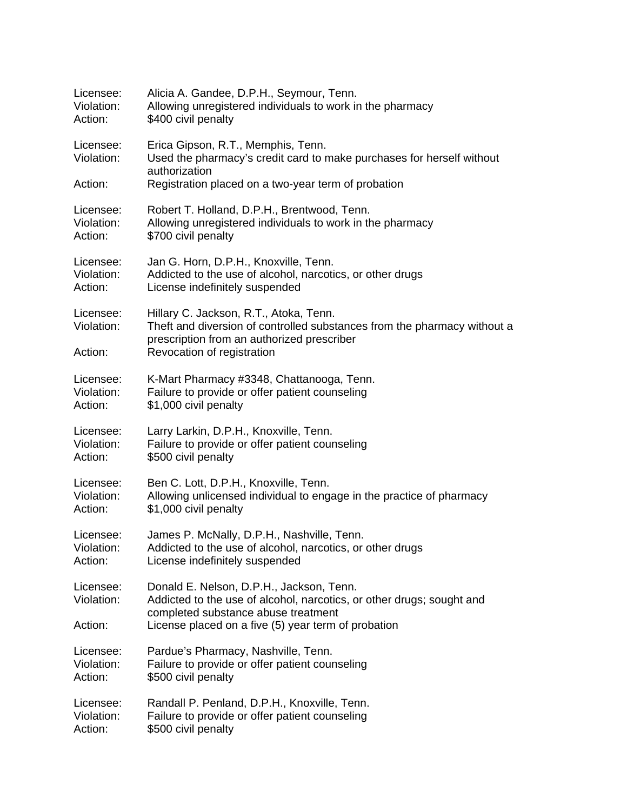| Licensee:                          | Alicia A. Gandee, D.P.H., Seymour, Tenn.                                                                                                                                                       |
|------------------------------------|------------------------------------------------------------------------------------------------------------------------------------------------------------------------------------------------|
| Violation:                         | Allowing unregistered individuals to work in the pharmacy                                                                                                                                      |
| Action:                            | \$400 civil penalty                                                                                                                                                                            |
| Licensee:<br>Violation:            | Erica Gipson, R.T., Memphis, Tenn.<br>Used the pharmacy's credit card to make purchases for herself without<br>authorization                                                                   |
| Action:                            | Registration placed on a two-year term of probation                                                                                                                                            |
| Licensee:                          | Robert T. Holland, D.P.H., Brentwood, Tenn.                                                                                                                                                    |
| Violation:                         | Allowing unregistered individuals to work in the pharmacy                                                                                                                                      |
| Action:                            | \$700 civil penalty                                                                                                                                                                            |
| Licensee:                          | Jan G. Horn, D.P.H., Knoxville, Tenn.                                                                                                                                                          |
| Violation:                         | Addicted to the use of alcohol, narcotics, or other drugs                                                                                                                                      |
| Action:                            | License indefinitely suspended                                                                                                                                                                 |
| Licensee:<br>Violation:<br>Action: | Hillary C. Jackson, R.T., Atoka, Tenn.<br>Theft and diversion of controlled substances from the pharmacy without a<br>prescription from an authorized prescriber<br>Revocation of registration |
| Licensee:                          | K-Mart Pharmacy #3348, Chattanooga, Tenn.                                                                                                                                                      |
| Violation:                         | Failure to provide or offer patient counseling                                                                                                                                                 |
| Action:                            | \$1,000 civil penalty                                                                                                                                                                          |
| Licensee:                          | Larry Larkin, D.P.H., Knoxville, Tenn.                                                                                                                                                         |
| Violation:                         | Failure to provide or offer patient counseling                                                                                                                                                 |
| Action:                            | \$500 civil penalty                                                                                                                                                                            |
| Licensee:                          | Ben C. Lott, D.P.H., Knoxville, Tenn.                                                                                                                                                          |
| Violation:                         | Allowing unlicensed individual to engage in the practice of pharmacy                                                                                                                           |
| Action:                            | \$1,000 civil penalty                                                                                                                                                                          |
| Licensee:                          | James P. McNally, D.P.H., Nashville, Tenn.                                                                                                                                                     |
| Violation:                         | Addicted to the use of alcohol, narcotics, or other drugs                                                                                                                                      |
| Action:                            | License indefinitely suspended                                                                                                                                                                 |
| Licensee:<br>Violation:            | Donald E. Nelson, D.P.H., Jackson, Tenn.<br>Addicted to the use of alcohol, narcotics, or other drugs; sought and<br>completed substance abuse treatment                                       |
| Action:                            | License placed on a five (5) year term of probation                                                                                                                                            |
| Licensee:                          | Pardue's Pharmacy, Nashville, Tenn.                                                                                                                                                            |
| Violation:                         | Failure to provide or offer patient counseling                                                                                                                                                 |
| Action:                            | \$500 civil penalty                                                                                                                                                                            |
| Licensee:                          | Randall P. Penland, D.P.H., Knoxville, Tenn.                                                                                                                                                   |
| Violation:                         | Failure to provide or offer patient counseling                                                                                                                                                 |
| Action:                            | \$500 civil penalty                                                                                                                                                                            |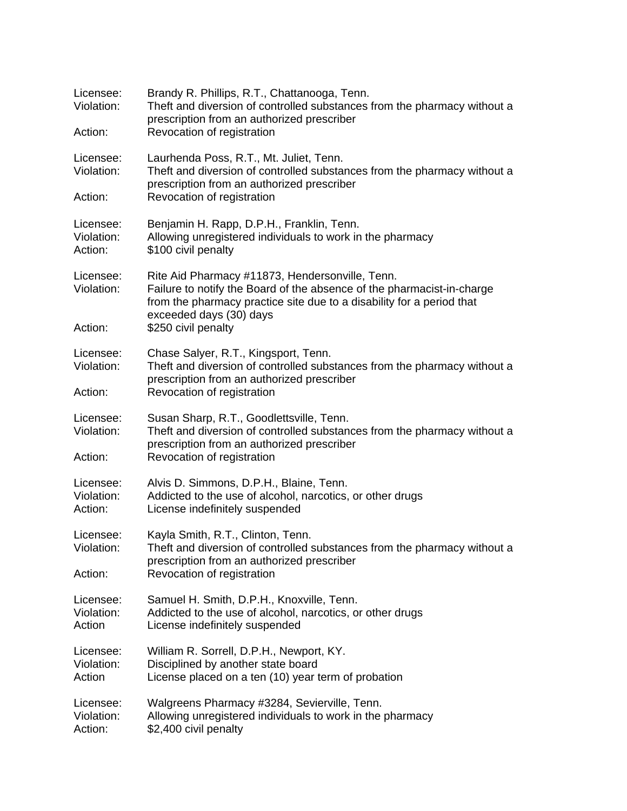| Licensee:<br>Violation:            | Brandy R. Phillips, R.T., Chattanooga, Tenn.<br>Theft and diversion of controlled substances from the pharmacy without a<br>prescription from an authorized prescriber                                                        |
|------------------------------------|-------------------------------------------------------------------------------------------------------------------------------------------------------------------------------------------------------------------------------|
| Action:                            | Revocation of registration                                                                                                                                                                                                    |
| Licensee:<br>Violation:            | Laurhenda Poss, R.T., Mt. Juliet, Tenn.<br>Theft and diversion of controlled substances from the pharmacy without a<br>prescription from an authorized prescriber                                                             |
| Action:                            | Revocation of registration                                                                                                                                                                                                    |
| Licensee:<br>Violation:<br>Action: | Benjamin H. Rapp, D.P.H., Franklin, Tenn.<br>Allowing unregistered individuals to work in the pharmacy<br>\$100 civil penalty                                                                                                 |
| Licensee:<br>Violation:            | Rite Aid Pharmacy #11873, Hendersonville, Tenn.<br>Failure to notify the Board of the absence of the pharmacist-in-charge<br>from the pharmacy practice site due to a disability for a period that<br>exceeded days (30) days |
| Action:                            | \$250 civil penalty                                                                                                                                                                                                           |
| Licensee:<br>Violation:            | Chase Salyer, R.T., Kingsport, Tenn.<br>Theft and diversion of controlled substances from the pharmacy without a<br>prescription from an authorized prescriber                                                                |
| Action:                            | Revocation of registration                                                                                                                                                                                                    |
| Licensee:<br>Violation:            | Susan Sharp, R.T., Goodlettsville, Tenn.<br>Theft and diversion of controlled substances from the pharmacy without a<br>prescription from an authorized prescriber                                                            |
| Action:                            | Revocation of registration                                                                                                                                                                                                    |
| Licensee:<br>Violation:<br>Action: | Alvis D. Simmons, D.P.H., Blaine, Tenn.<br>Addicted to the use of alcohol, narcotics, or other drugs<br>License indefinitely suspended                                                                                        |
| Licensee:<br>Violation:<br>Action: | Kayla Smith, R.T., Clinton, Tenn.<br>Theft and diversion of controlled substances from the pharmacy without a<br>prescription from an authorized prescriber<br>Revocation of registration                                     |
| Licensee:<br>Violation:<br>Action  | Samuel H. Smith, D.P.H., Knoxville, Tenn.<br>Addicted to the use of alcohol, narcotics, or other drugs<br>License indefinitely suspended                                                                                      |
| Licensee:<br>Violation:<br>Action  | William R. Sorrell, D.P.H., Newport, KY.<br>Disciplined by another state board<br>License placed on a ten (10) year term of probation                                                                                         |
| Licensee:<br>Violation:<br>Action: | Walgreens Pharmacy #3284, Sevierville, Tenn.<br>Allowing unregistered individuals to work in the pharmacy<br>\$2,400 civil penalty                                                                                            |